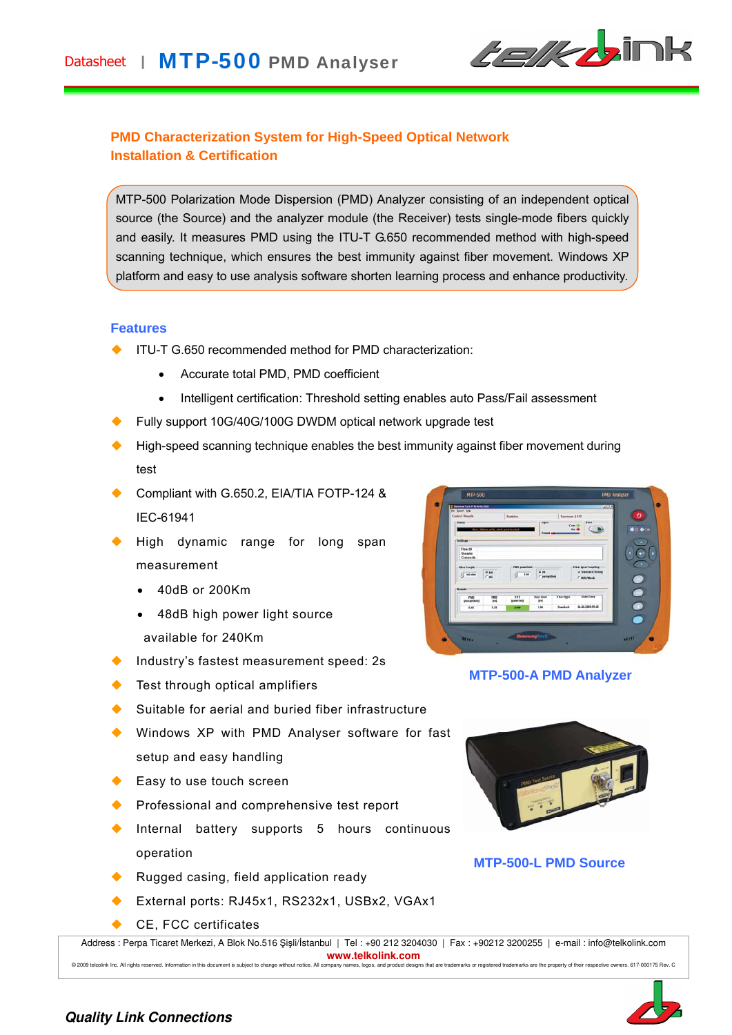

# **PMD Characterization System for High-Speed Optical Network Installation & Certification**

MTP-500 Polarization Mode Dispersion (PMD) Analyzer consisting of an independent optical source (the Source) and the analyzer module (the Receiver) tests single-mode fibers quickly and easily. It measures PMD using the ITU-T G.650 recommended method with high-speed scanning technique, which ensures the best immunity against fiber movement. Windows XP platform and easy to use analysis software shorten learning process and enhance productivity.

#### **Features**

- ITU-T G.650 recommended method for PMD characterization:
	- Accurate total PMD, PMD coefficient
	- Intelligent certification: Threshold setting enables auto Pass/Fail assessment
- Fully support 10G/40G/100G DWDM optical network upgrade test
- High-speed scanning technique enables the best immunity against fiber movement during test
- Compliant with G.650.2, EIA/TIA FOTP-124 & IEC-61941
- High dynamic range for long span measurement
	- 40dB or 200Km
	- 48dB high power light source available for 240Km
- Industry's fastest measurement speed: 2s
- Test through optical amplifiers
- Suitable for aerial and buried fiber infrastructure
- ◆ Windows XP with PMD Analyser software for fast setup and easy handling
- ◆ Easy to use touch screen
- Professional and comprehensive test report
- Internal battery supports 5 hours continuous operation
- Rugged casing, field application ready
- External ports: RJ45x1, RS232x1, USBx2, VGAx1
- CE, FCC certificates





**MTP-500-A PMD Analyzer** 



### **MTP-500-L PMD Source**

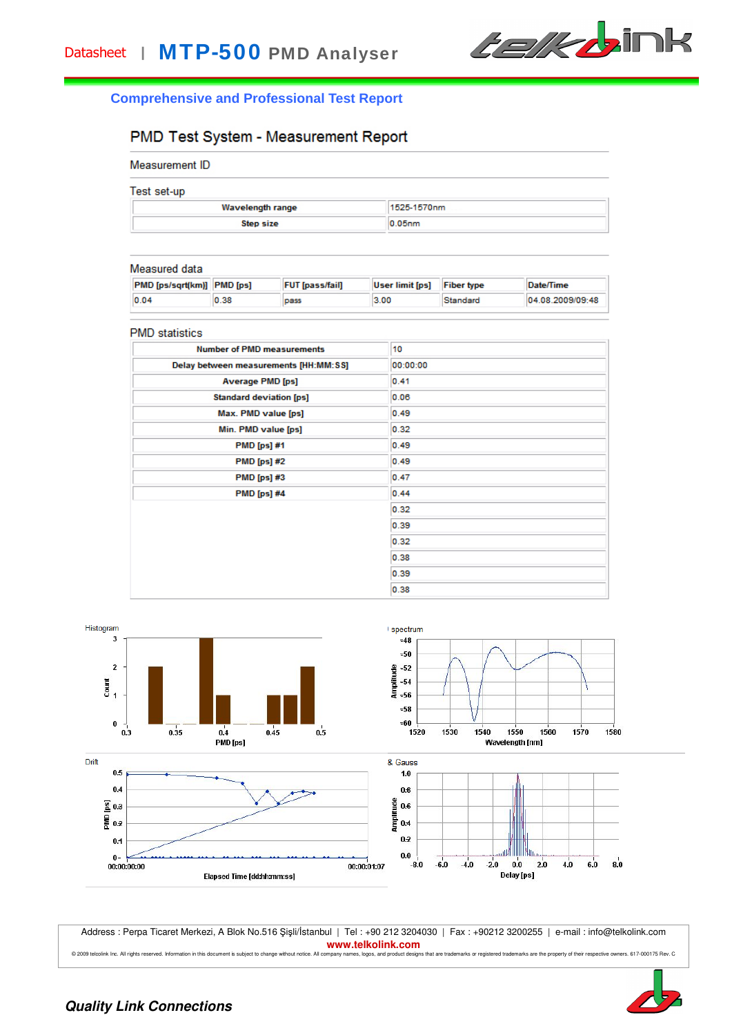

### **Comprehensive and Professional Test Report**

# PMD Test System - Measurement Report

| Measurement ID |  |
|----------------|--|
|----------------|--|

| Test set-up |  |  |  |  |  |
|-------------|--|--|--|--|--|
|             |  |  |  |  |  |

| 1993, 993, 99<br><b>Wavelength range</b> | 1525-1570nm |  |  |
|------------------------------------------|-------------|--|--|
| Step size                                | $0.05$ nm   |  |  |

#### Measured data

| <b>PMD [ps/sqrt(km)] PMD [ps]</b> |      | <b>FUT</b> [pass/fail] | User limit [ps] | <b>Fiber type</b> | Date/Time        |
|-----------------------------------|------|------------------------|-----------------|-------------------|------------------|
| 0.04                              | 0.38 | pass                   | 3.00            | Standard          | 04.08.2009/09:48 |

#### **PMD** statistics

| <b>Number of PMD measurements</b>     | 10       |
|---------------------------------------|----------|
| Delay between measurements [HH:MM:SS] | 00:00:00 |
| <b>Average PMD [ps]</b>               | 0.41     |
| <b>Standard deviation [ps]</b>        | 0.06     |
| Max. PMD value [ps]                   | 0.49     |
| Min. PMD value [ps]                   | 0.32     |
| <b>PMD</b> [ps] #1                    | 0.49     |
| <b>PMD</b> [ps] #2                    | 0.49     |
| <b>PMD</b> [ps] #3                    | 0.47     |
| <b>PMD</b> [ps] #4                    | 0.44     |
|                                       | 0.32     |
|                                       | 0.39     |
|                                       | 0.32     |
|                                       | 0.38     |
|                                       | 0.39     |
|                                       | 0.38     |



Address : Perpa Ticaret Merkezi, A Blok No.516 Şişli/İstanbul | Tel : +90 212 3204030 | Fax : +90212 3200255 | e-mail : info@telkolink.com **www.telkolink.com** 

© 2009 teloolink Inc. All rights reserved. Information in this document is subject to change without notice. All company names, logos, and product designs that are trademarks or registered trademarks are the property of th